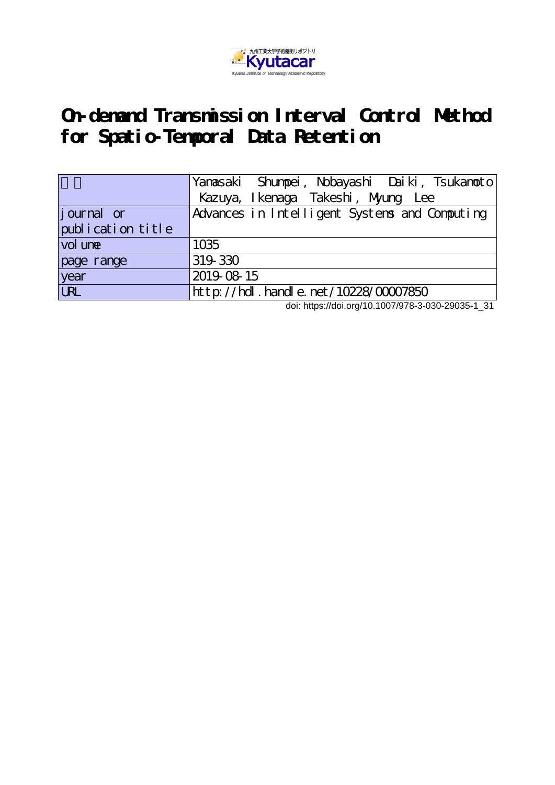

# **On-demand Transmission Interval Control Method for Spatio-Temporal Data Retention**

|                   | Yan <b>a</b> saki Shunpei, Nobayashi Daiki, Tsukanoto |  |  |  |
|-------------------|-------------------------------------------------------|--|--|--|
|                   | Kazuya, I kenaga Takeshi, Myung Lee                   |  |  |  |
| journal or        | Advances in Intelligent Systems and Computing         |  |  |  |
| publication title |                                                       |  |  |  |
| vol une           | 1035                                                  |  |  |  |
| page range        | 319 330                                               |  |  |  |
| year              | 2019-08-15                                            |  |  |  |
| <b>URL</b>        | http://hdl . handl e. net/10228/00007850              |  |  |  |

doi: https://doi.org/10.1007/978-3-030-29035-1\_31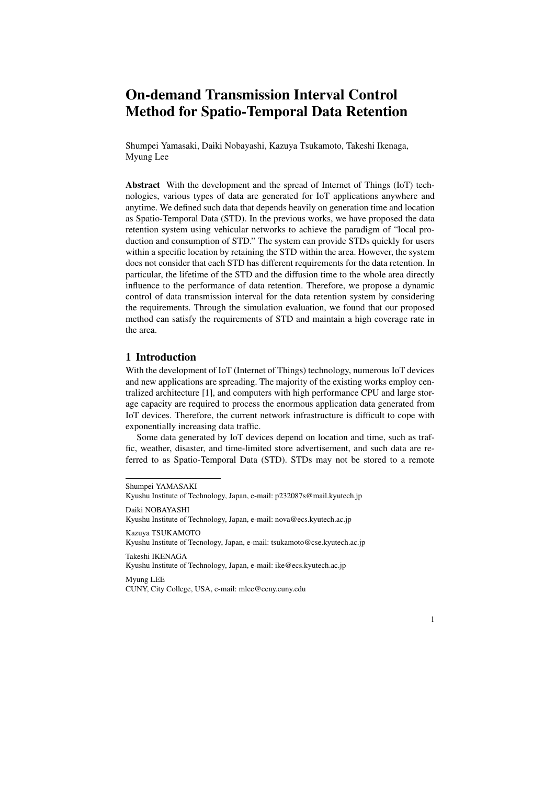# On-demand Transmission Interval Control Method for Spatio-Temporal Data Retention

Shumpei Yamasaki, Daiki Nobayashi, Kazuya Tsukamoto, Takeshi Ikenaga, Myung Lee

Abstract With the development and the spread of Internet of Things (IoT) technologies, various types of data are generated for IoT applications anywhere and anytime. We defined such data that depends heavily on generation time and location as Spatio-Temporal Data (STD). In the previous works, we have proposed the data retention system using vehicular networks to achieve the paradigm of "local production and consumption of STD." The system can provide STDs quickly for users within a specific location by retaining the STD within the area. However, the system does not consider that each STD has different requirements for the data retention. In particular, the lifetime of the STD and the diffusion time to the whole area directly influence to the performance of data retention. Therefore, we propose a dynamic control of data transmission interval for the data retention system by considering the requirements. Through the simulation evaluation, we found that our proposed method can satisfy the requirements of STD and maintain a high coverage rate in the area.

# 1 Introduction

With the development of IoT (Internet of Things) technology, numerous IoT devices and new applications are spreading. The majority of the existing works employ centralized architecture [1], and computers with high performance CPU and large storage capacity are required to process the enormous application data generated from IoT devices. Therefore, the current network infrastructure is difficult to cope with exponentially increasing data traffic.

Some data generated by IoT devices depend on location and time, such as traffic, weather, disaster, and time-limited store advertisement, and such data are referred to as Spatio-Temporal Data (STD). STDs may not be stored to a remote

1

Shumpei YAMASAKI Kyushu Institute of Technology, Japan, e-mail: p232087s@mail.kyutech.jp Daiki NOBAYASHI Kyushu Institute of Technology, Japan, e-mail: nova@ecs.kyutech.ac.jp Kazuya TSUKAMOTO Kyushu Institute of Tecnology, Japan, e-mail: tsukamoto@cse.kyutech.ac.jp Takeshi IKENAGA Kyushu Institute of Technology, Japan, e-mail: ike@ecs.kyutech.ac.jp Myung LEE CUNY, City College, USA, e-mail: mlee@ccny.cuny.edu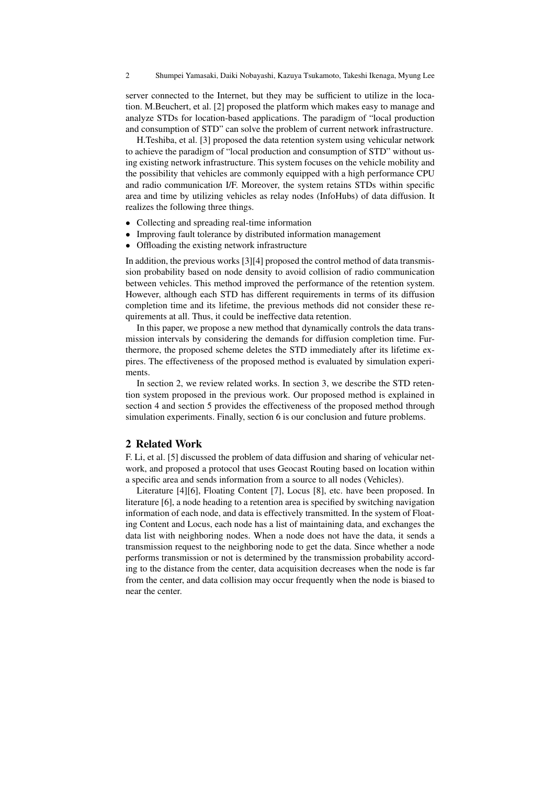server connected to the Internet, but they may be sufficient to utilize in the location. M.Beuchert, et al. [2] proposed the platform which makes easy to manage and analyze STDs for location-based applications. The paradigm of "local production and consumption of STD" can solve the problem of current network infrastructure.

H.Teshiba, et al. [3] proposed the data retention system using vehicular network to achieve the paradigm of "local production and consumption of STD" without using existing network infrastructure. This system focuses on the vehicle mobility and the possibility that vehicles are commonly equipped with a high performance CPU and radio communication I/F. Moreover, the system retains STDs within specific area and time by utilizing vehicles as relay nodes (InfoHubs) of data diffusion. It realizes the following three things.

- *•* Collecting and spreading real-time information
- *•* Improving fault tolerance by distributed information management
- *•* Offloading the existing network infrastructure

In addition, the previous works [3][4] proposed the control method of data transmission probability based on node density to avoid collision of radio communication between vehicles. This method improved the performance of the retention system. However, although each STD has different requirements in terms of its diffusion completion time and its lifetime, the previous methods did not consider these requirements at all. Thus, it could be ineffective data retention.

In this paper, we propose a new method that dynamically controls the data transmission intervals by considering the demands for diffusion completion time. Furthermore, the proposed scheme deletes the STD immediately after its lifetime expires. The effectiveness of the proposed method is evaluated by simulation experiments.

In section 2, we review related works. In section 3, we describe the STD retention system proposed in the previous work. Our proposed method is explained in section 4 and section 5 provides the effectiveness of the proposed method through simulation experiments. Finally, section 6 is our conclusion and future problems.

# 2 Related Work

F. Li, et al. [5] discussed the problem of data diffusion and sharing of vehicular network, and proposed a protocol that uses Geocast Routing based on location within a specific area and sends information from a source to all nodes (Vehicles).

Literature [4][6], Floating Content [7], Locus [8], etc. have been proposed. In literature [6], a node heading to a retention area is specified by switching navigation information of each node, and data is effectively transmitted. In the system of Floating Content and Locus, each node has a list of maintaining data, and exchanges the data list with neighboring nodes. When a node does not have the data, it sends a transmission request to the neighboring node to get the data. Since whether a node performs transmission or not is determined by the transmission probability according to the distance from the center, data acquisition decreases when the node is far from the center, and data collision may occur frequently when the node is biased to near the center.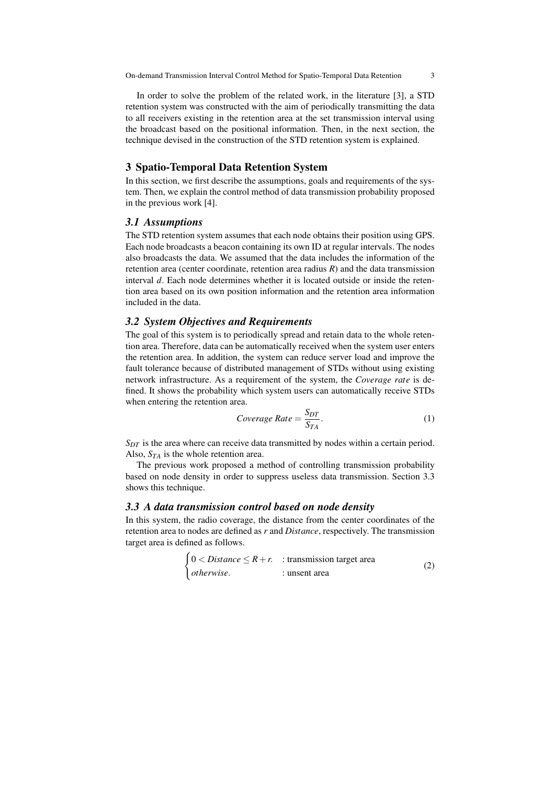On-demand Transmission Interval Control Method for Spatio-Temporal Data Retention 3

In order to solve the problem of the related work, in the literature [3], a STD retention system was constructed with the aim of periodically transmitting the data to all receivers existing in the retention area at the set transmission interval using the broadcast based on the positional information. Then, in the next section, the technique devised in the construction of the STD retention system is explained.

# 3 Spatio-Temporal Data Retention System

In this section, we first describe the assumptions, goals and requirements of the system. Then, we explain the control method of data transmission probability proposed in the previous work [4].

# *3.1 Assumptions*

The STD retention system assumes that each node obtains their position using GPS. Each node broadcasts a beacon containing its own ID at regular intervals. The nodes also broadcasts the data. We assumed that the data includes the information of the retention area (center coordinate, retention area radius *R*) and the data transmission interval *d*. Each node determines whether it is located outside or inside the retention area based on its own position information and the retention area information included in the data.

# *3.2 System Objectives and Requirements*

The goal of this system is to periodically spread and retain data to the whole retention area. Therefore, data can be automatically received when the system user enters the retention area. In addition, the system can reduce server load and improve the fault tolerance because of distributed management of STDs without using existing network infrastructure. As a requirement of the system, the *Coverage rate* is defined. It shows the probability which system users can automatically receive STDs when entering the retention area.

$$
Coverage Rate = \frac{S_{DT}}{S_{TA}}.\tag{1}
$$

*SDT* is the area where can receive data transmitted by nodes within a certain period. Also,  $S_{TA}$  is the whole retention area.

The previous work proposed a method of controlling transmission probability based on node density in order to suppress useless data transmission. Section 3.3 shows this technique.

## *3.3 A data transmission control based on node density*

In this system, the radio coverage, the distance from the center coordinates of the retention area to nodes are defined as *r* and *Distance*, respectively. The transmission target area is defined as follows.

$$
\begin{cases}\n0 < Distance \leq R + r. & \text{transmission target area} \\
otherwise. & \text{insert area}\n\end{cases}\n\tag{2}
$$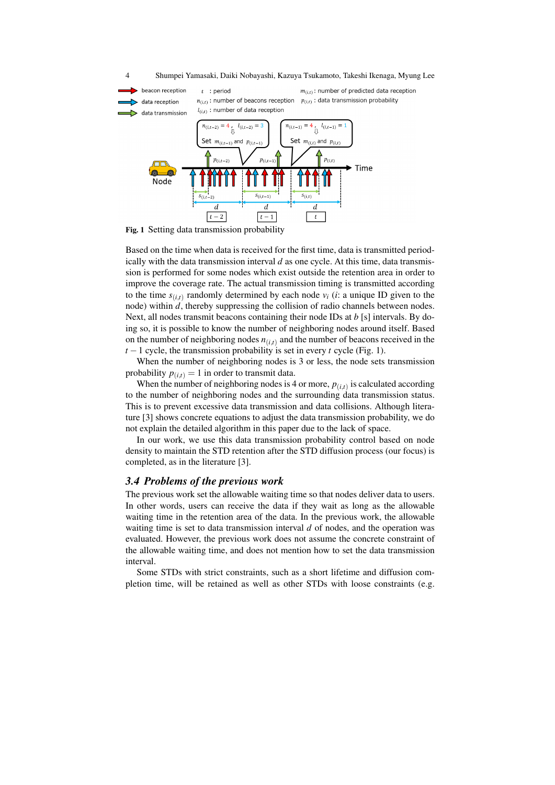

Fig. 1 Setting data transmission probability

Based on the time when data is received for the first time, data is transmitted periodically with the data transmission interval  $d$  as one cycle. At this time, data transmission is performed for some nodes which exist outside the retention area in order to improve the coverage rate. The actual transmission timing is transmitted according to the time  $s_{(i,t)}$  randomly determined by each node  $v_i$  (*i*: a unique ID given to the node) within *d*, thereby suppressing the collision of radio channels between nodes. Next, all nodes transmit beacons containing their node IDs at *b* [s] intervals. By doing so, it is possible to know the number of neighboring nodes around itself. Based on the number of neighboring nodes  $n(i, t)$  and the number of beacons received in the *t* − 1 cycle, the transmission probability is set in every *t* cycle (Fig. 1).

When the number of neighboring nodes is 3 or less, the node sets transmission probability  $p(i,t) = 1$  in order to transmit data.

When the number of neighboring nodes is 4 or more,  $p_{(i,t)}$  is calculated according to the number of neighboring nodes and the surrounding data transmission status. This is to prevent excessive data transmission and data collisions. Although literature [3] shows concrete equations to adjust the data transmission probability, we do not explain the detailed algorithm in this paper due to the lack of space.

In our work, we use this data transmission probability control based on node density to maintain the STD retention after the STD diffusion process (our focus) is completed, as in the literature [3].

# *3.4 Problems of the previous work*

The previous work set the allowable waiting time so that nodes deliver data to users. In other words, users can receive the data if they wait as long as the allowable waiting time in the retention area of the data. In the previous work, the allowable waiting time is set to data transmission interval *d* of nodes, and the operation was evaluated. However, the previous work does not assume the concrete constraint of the allowable waiting time, and does not mention how to set the data transmission interval.

Some STDs with strict constraints, such as a short lifetime and diffusion completion time, will be retained as well as other STDs with loose constraints (e.g.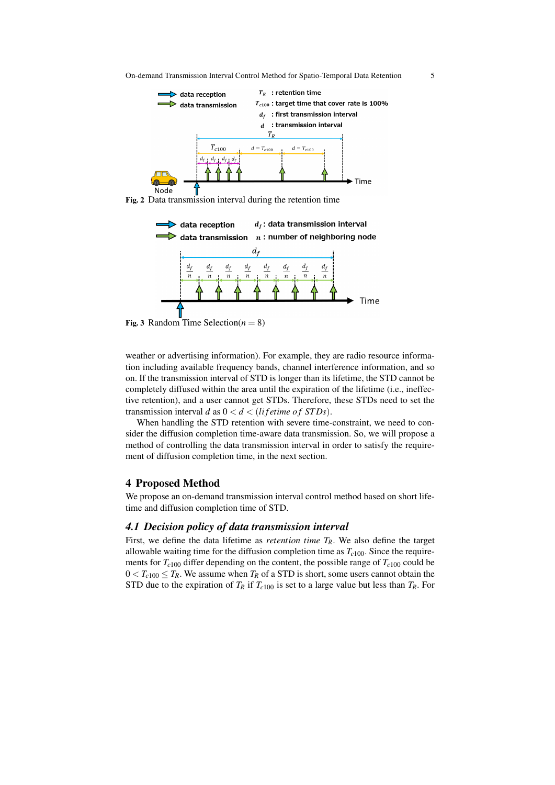

Fig. 2 Data transmission interval during the retention time



Fig. 3 Random Time Selection( $n = 8$ )

weather or advertising information). For example, they are radio resource information including available frequency bands, channel interference information, and so on. If the transmission interval of STD is longer than its lifetime, the STD cannot be completely diffused within the area until the expiration of the lifetime (i.e., ineffective retention), and a user cannot get STDs. Therefore, these STDs need to set the transmission interval *d* as  $0 < d <$  (*lifetime of STDs*).

When handling the STD retention with severe time-constraint, we need to consider the diffusion completion time-aware data transmission. So, we will propose a method of controlling the data transmission interval in order to satisfy the requirement of diffusion completion time, in the next section.

## 4 Proposed Method

We propose an on-demand transmission interval control method based on short lifetime and diffusion completion time of STD.

# *4.1 Decision policy of data transmission interval*

First, we define the data lifetime as *retention time TR*. We also define the target allowable waiting time for the diffusion completion time as *Tc*100. Since the requirements for  $T_{c100}$  differ depending on the content, the possible range of  $T_{c100}$  could be  $0 < T_{c100} \leq T_R$ . We assume when  $T_R$  of a STD is short, some users cannot obtain the STD due to the expiration of  $T_R$  if  $T_{c100}$  is set to a large value but less than  $T_R$ . For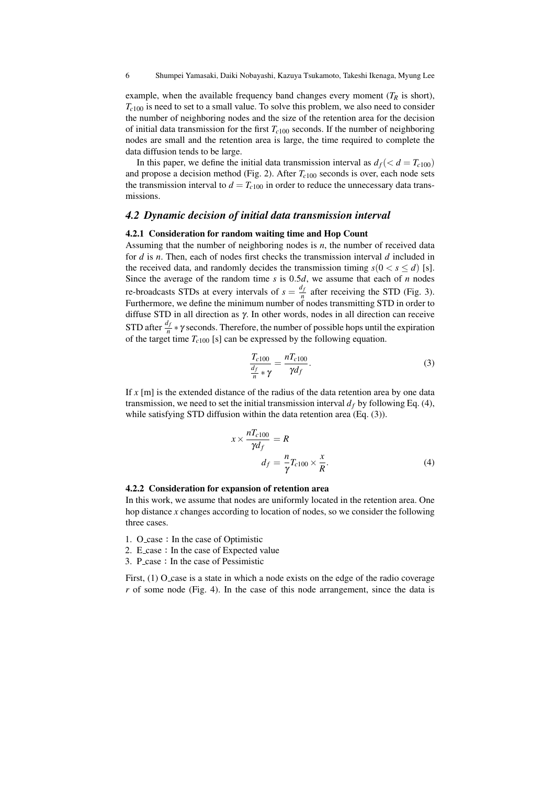example, when the available frequency band changes every moment  $(T_R$  is short),  $T<sub>c100</sub>$  is need to set to a small value. To solve this problem, we also need to consider the number of neighboring nodes and the size of the retention area for the decision of initial data transmission for the first  $T<sub>c100</sub>$  seconds. If the number of neighboring nodes are small and the retention area is large, the time required to complete the data diffusion tends to be large.

In this paper, we define the initial data transmission interval as  $d_f$  ( $d = T_{c100}$ ) and propose a decision method (Fig. 2). After  $T_{c100}$  seconds is over, each node sets the transmission interval to  $d = T_{c100}$  in order to reduce the unnecessary data transmissions.

## *4.2 Dynamic decision of initial data transmission interval*

#### 4.2.1 Consideration for random waiting time and Hop Count

Assuming that the number of neighboring nodes is *n*, the number of received data for *d* is *n*. Then, each of nodes first checks the transmission interval *d* included in the received data, and randomly decides the transmission timing  $s(0 < s \le d)$  [s]. Since the average of the random time *s* is 0*.*5*d*, we assume that each of *n* nodes re-broadcasts STDs at every intervals of  $s = \frac{d_f}{d_f}$  $\frac{df}{n}$  after receiving the STD (Fig. 3). Furthermore, we define the minimum number of nodes transmitting STD in order to diffuse STD in all direction as γ. In other words, nodes in all direction can receive STD after  $\frac{d_f}{n} * \gamma$  seconds. Therefore, the number of possible hops until the expiration of the target time  $T_{c100}$  [s] can be expressed by the following equation.

$$
\frac{T_{c100}}{\frac{d_f}{n} * \gamma} = \frac{nT_{c100}}{\gamma d_f}.
$$
\n(3)

If  $x$  [m] is the extended distance of the radius of the data retention area by one data transmission, we need to set the initial transmission interval  $d_f$  by following Eq. (4), while satisfying STD diffusion within the data retention area (Eq. (3)).

$$
x \times \frac{nT_{c100}}{\gamma d_f} = R
$$
  

$$
d_f = \frac{n}{\gamma} T_{c100} \times \frac{x}{R}.
$$
 (4)

#### 4.2.2 Consideration for expansion of retention area

In this work, we assume that nodes are uniformly located in the retention area. One hop distance *x* changes according to location of nodes, so we consider the following three cases.

- 1. O case: In the case of Optimistic
- 2. E case: In the case of Expected value
- 3. P case: In the case of Pessimistic

First,  $(1)$  O case is a state in which a node exists on the edge of the radio coverage *r* of some node (Fig. 4). In the case of this node arrangement, since the data is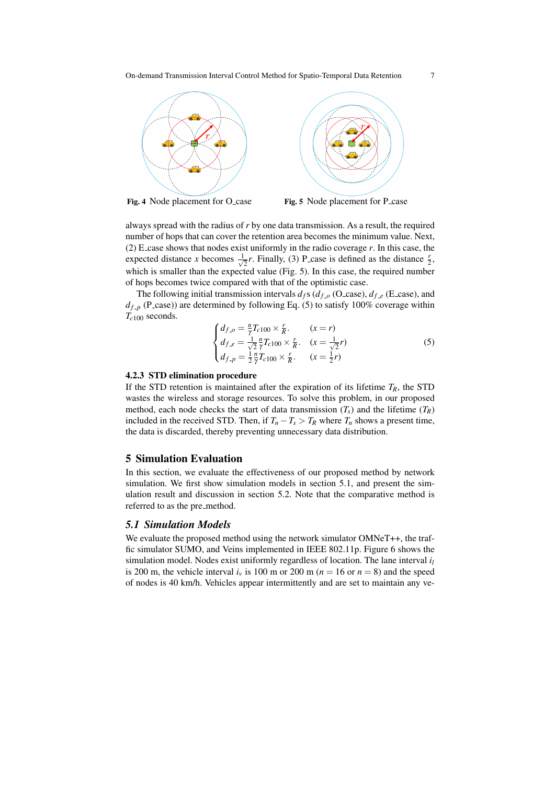

Fig. 4 Node placement for O case Fig. 5 Node placement for P case

always spread with the radius of *r* by one data transmission. As a result, the required number of hops that can cover the retention area becomes the minimum value. Next, (2) E case shows that nodes exist uniformly in the radio coverage *r*. In this case, the expected distance *x* becomes  $\frac{1}{\sqrt{2}}$  $\frac{\pi}{2}$ r. Finally, (3) P case is defined as the distance  $\frac{r}{2}$ , which is smaller than the expected value (Fig. 5). In this case, the required number of hops becomes twice compared with that of the optimistic case.

The following initial transmission intervals  $d_f s$  ( $d_{f,o}$  (O\_case),  $d_{f,e}$  (E\_case), and  $d_{f,p}$  (P case)) are determined by following Eq. (5) to satisfy 100% coverage within *Tc*<sup>100</sup> seconds.

$$
\begin{cases}\nd_{f,o} = \frac{n}{\gamma} T_{c100} \times \frac{r}{R} & (x = r) \\
d_{f,e} = \frac{1}{\sqrt{2}} \frac{n}{\gamma} T_{c100} \times \frac{r}{R} & (x = \frac{1}{\sqrt{2}}r) \\
d_{f,p} = \frac{1}{2} \frac{n}{\gamma} T_{c100} \times \frac{r}{R} & (x = \frac{1}{2}r)\n\end{cases}\n\tag{5}
$$

#### 4.2.3 STD elimination procedure

If the STD retention is maintained after the expiration of its lifetime  $T_R$ , the STD wastes the wireless and storage resources. To solve this problem, in our proposed method, each node checks the start of data transmission  $(T_s)$  and the lifetime  $(T_R)$ included in the received STD. Then, if  $T_n - T_s > T_R$  where  $T_n$  shows a present time, the data is discarded, thereby preventing unnecessary data distribution.

#### 5 Simulation Evaluation

In this section, we evaluate the effectiveness of our proposed method by network simulation. We first show simulation models in section 5.1, and present the simulation result and discussion in section 5.2. Note that the comparative method is referred to as the pre method.

#### *5.1 Simulation Models*

We evaluate the proposed method using the network simulator OMNeT++, the traffic simulator SUMO, and Veins implemented in IEEE 802.11p. Figure 6 shows the simulation model. Nodes exist uniformly regardless of location. The lane interval *i<sup>l</sup>* is 200 m, the vehicle interval  $i<sub>v</sub>$  is 100 m or 200 m ( $n = 16$  or  $n = 8$ ) and the speed of nodes is 40 km/h. Vehicles appear intermittently and are set to maintain any ve-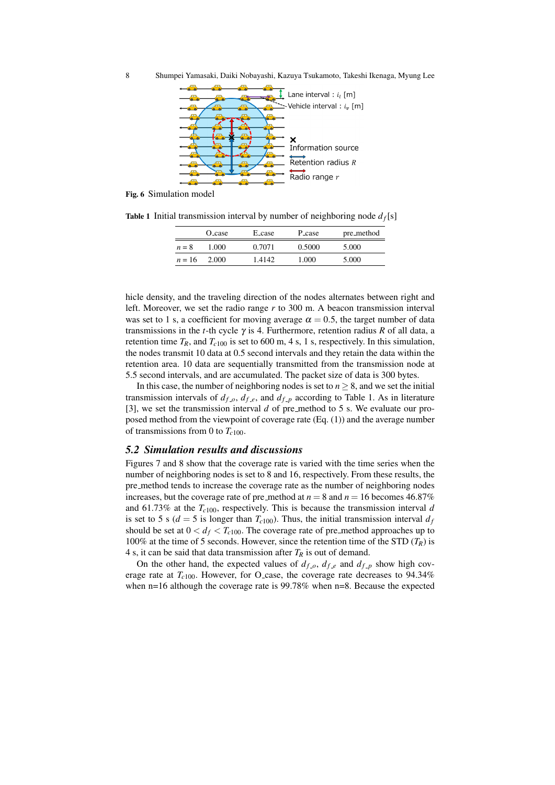



Fig. 6 Simulation model

Table 1 Initial transmission interval by number of neighboring node *df*[s]

|          | O case | E case | P case | pre_method |
|----------|--------|--------|--------|------------|
| $n=8$    | 1.000  | 0.7071 | 0.5000 | 5.000      |
| $n = 16$ | 2.000  | 1.4142 | 1.000  | 5.000      |

hicle density, and the traveling direction of the nodes alternates between right and left. Moreover, we set the radio range *r* to 300 m. A beacon transmission interval was set to 1 s, a coefficient for moving average  $\alpha = 0.5$ , the target number of data transmissions in the *t*-th cycle  $\gamma$  is 4. Furthermore, retention radius *R* of all data, a retention time  $T_R$ , and  $T_{c100}$  is set to 600 m, 4 s, 1 s, respectively. In this simulation, the nodes transmit 10 data at 0.5 second intervals and they retain the data within the retention area. 10 data are sequentially transmitted from the transmission node at 5.5 second intervals, and are accumulated. The packet size of data is 300 bytes.

In this case, the number of neighboring nodes is set to  $n \geq 8$ , and we set the initial transmission intervals of  $d_{f,o}$ ,  $d_{f,e}$ , and  $d_{f,p}$  according to Table 1. As in literature [3], we set the transmission interval *d* of pre method to 5 s. We evaluate our proposed method from the viewpoint of coverage rate (Eq. (1)) and the average number of transmissions from 0 to *Tc*100.

#### *5.2 Simulation results and discussions*

Figures 7 and 8 show that the coverage rate is varied with the time series when the number of neighboring nodes is set to 8 and 16, respectively. From these results, the pre method tends to increase the coverage rate as the number of neighboring nodes increases, but the coverage rate of pre-method at  $n = 8$  and  $n = 16$  becomes 46.87% and 61.73% at the *Tc*100, respectively. This is because the transmission interval *d* is set to 5 s ( $d = 5$  is longer than  $T_{c100}$ ). Thus, the initial transmission interval  $d_f$ should be set at  $0 < d_f < T_{c100}$ . The coverage rate of pre\_method approaches up to 100% at the time of 5 seconds. However, since the retention time of the STD  $(T_R)$  is 4 s, it can be said that data transmission after  $T_R$  is out of demand.

On the other hand, the expected values of  $d_{f,o}$ ,  $d_{f,e}$  and  $d_{f,p}$  show high coverage rate at  $T_{c100}$ . However, for O<sub>-case</sub>, the coverage rate decreases to  $94.34\%$ when n=16 although the coverage rate is 99.78% when n=8. Because the expected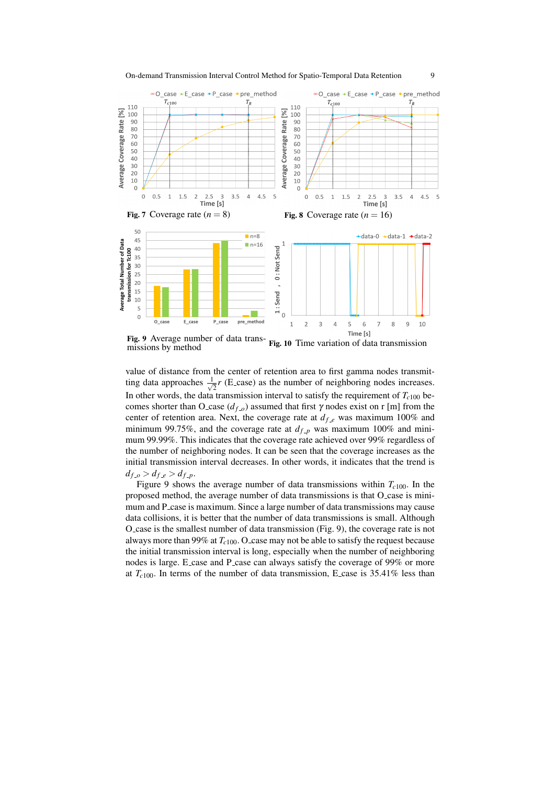



Fig. 9 Average number of data trans-Fig. 9 Average number of data trans-<br>Fig. 10 Time variation of data transmission missions by method

value of distance from the center of retention area to first gamma nodes transmitting data approaches *√* 1  $\frac{1}{2}r$  (E\_case) as the number of neighboring nodes increases. In other words, the data transmission interval to satisfy the requirement of  $T_{c100}$  becomes shorter than O case  $(d_{f,o})$  assumed that first  $\gamma$  nodes exist on r [m] from the center of retention area. Next, the coverage rate at  $d_{f,e}$  was maximum 100% and minimum 99.75%, and the coverage rate at  $d_{f,p}$  was maximum 100% and minimum 99.99%. This indicates that the coverage rate achieved over 99% regardless of the number of neighboring nodes. It can be seen that the coverage increases as the initial transmission interval decreases. In other words, it indicates that the trend is  $d_{f,o} > d_{f,e} > d_{f,p}.$ 

Figure 9 shows the average number of data transmissions within  $T_{c100}$ . In the proposed method, the average number of data transmissions is that O case is minimum and P case is maximum. Since a large number of data transmissions may cause data collisions, it is better that the number of data transmissions is small. Although O case is the smallest number of data transmission (Fig. 9), the coverage rate is not always more than 99% at  $T_{c100}$ . O case may not be able to satisfy the request because the initial transmission interval is long, especially when the number of neighboring nodes is large. E\_case and P\_case can always satisfy the coverage of 99% or more at  $T_{c100}$ . In terms of the number of data transmission, E case is 35.41% less than